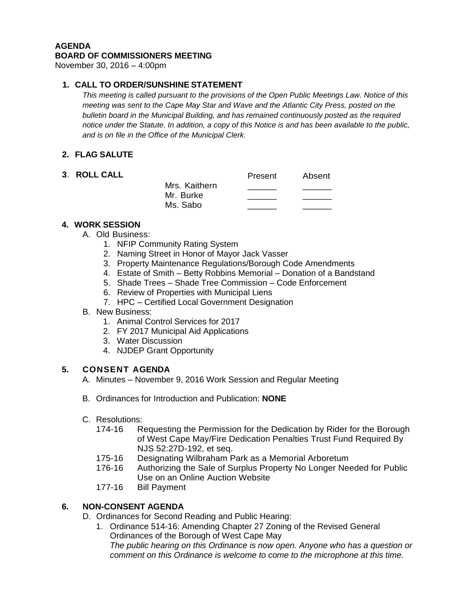#### **AGENDA BOARD OF COMMISSIONERS MEETING**

November 30, 2016 – 4:00pm

# **1. CALL TO ORDER/SUNSHINE STATEMENT**

*This meeting is called pursuant to the provisions of the Open Public Meetings Law. Notice of this meeting was sent to the Cape May Star and Wave and the Atlantic City Press, posted on the bulletin board in the Municipal Building, and has remained continuously posted as the required notice under the Statute. In addition, a copy of this Notice is and has been available to the public, and is on file in the Office of the Municipal Clerk.*

# **2. FLAG SALUTE**

### **3. ROLL CALL**

|               | Present | Absent |
|---------------|---------|--------|
| Mrs. Kaithern |         |        |
| Mr. Burke     |         |        |
| Ms. Sabo      |         |        |

# **4. WORK SESSION**

- A. Old Business:
	- 1. NFIP Community Rating System
	- 2. Naming Street in Honor of Mayor Jack Vasser
	- 3. Property Maintenance Regulations/Borough Code Amendments
	- 4. Estate of Smith Betty Robbins Memorial Donation of a Bandstand
	- 5. Shade Trees Shade Tree Commission Code Enforcement
	- 6. Review of Properties with Municipal Liens
	- 7. HPC Certified Local Government Designation

### B. New Business:

- 1. Animal Control Services for 2017
- 2. FY 2017 Municipal Aid Applications
- 3. Water Discussion
- 4. NJDEP Grant Opportunity

### **5. CONSENT AGENDA**

- A. Minutes November 9, 2016 Work Session and Regular Meeting
- B. Ordinances for Introduction and Publication: **NONE**
- C. Resolutions:
	- Requesting the Permission for the Dedication by Rider for the Borough of West Cape May/Fire Dedication Penalties Trust Fund Required By NJS 52:27D-192, et seq.
	- 175-16 Designating Wilbraham Park as a Memorial Arboretum
	- 176-16 Authorizing the Sale of Surplus Property No Longer Needed for Public Use on an Online Auction Website
	- 177-16 Bill Payment

# **6. NON-CONSENT AGENDA**

D. Ordinances for Second Reading and Public Hearing:

1. Ordinance 514-16: Amending Chapter 27 Zoning of the Revised General Ordinances of the Borough of West Cape May *The public hearing on this Ordinance is now open. Anyone who has a question or comment on this Ordinance is welcome to come to the microphone at this time.*